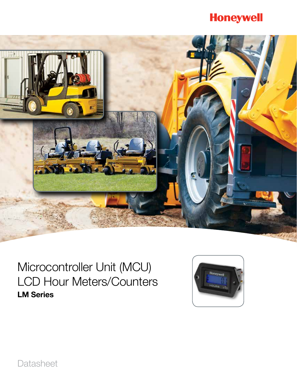# **Honeywell**



# Microcontroller Unit (MCU) LCD Hour Meters/Counters LM Series



**Datasheet**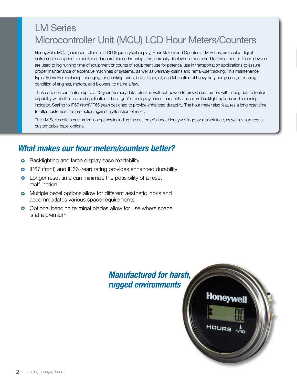## LM Series Microcontroller Unit (MCU) LCD Hour Meters/Counters

Honeywell's MCU (microcontroller unit) LCD (liquid crystal display) Hour Meters and Counters, LM Series, are sealed digital instruments designed to monitor and record elapsed running time, normally displayed in hours and tenths of hours. These devices are used to log running time of equipment or counts of equipment use for potential use in transportation applications to assure proper maintenance of expensive machines or systems, as well as warranty claims and rental-use tracking. This maintenance typically involves replacing, changing, or checking parts, belts, filters, oil, and lubrication of heavy duty equipment, or running condition of engines, motors, and blowers, to name a few.

These devices can feature up to a 40-year memory data retention (without power) to provide customers with a long data retention capability within their desired application. The large 7 mm display eases readability and offers backlight options and a running indicator. Sealing to IP67 (front)/IP66 (rear) designed to provide enhanced durability. The hour meter also features a long reset time to offer customers the protection against malfunction of reset.

The LM Series offers customization options including the customer's logo, Honeywell logo, or a black face, as well as numerous customizable bezel options.

### *What makes our hour meters/counters better?*

- **•** Backlighting and large display ease readability
- **o** IP67 (front) and IP66 (rear) rating provides enhanced durability
- **O** Longer reset time can minimize the possibility of a reset malfunction
- **o** Multiple bezel options allow for different aesthetic looks and accommodates various space requirements
- **O** Optional bending terminal blades allow for use where space is at a premium

### *Manufactured for harsh, rugged environments*

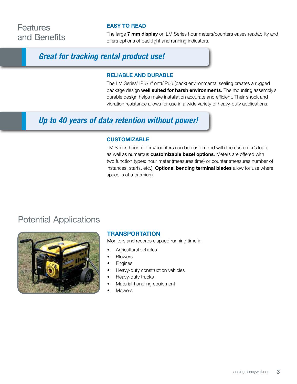### **Features** and Benefits

#### EASY TO READ

The large 7 mm display on LM Series hour meters/counters eases readability and offers options of backlight and running indicators.

### *Great for tracking rental product use!*

#### RELIABLE AND DURABLE

The LM Series' IP67 (front)/IP66 (back) environmental sealing creates a rugged package design well suited for harsh environments. The mounting assembly's durable design helps make installation accurate and efficient. Their shock and vibration resistance allows for use in a wide variety of heavy-duty applications.

### *Up to 40 years of data retention without power!*

#### **CUSTOMIZABLE**

LM Series hour meters/counters can be customized with the customer's logo, as well as numerous customizable bezel options. Meters are offered with two function types: hour meter (measures time) or counter (measures number of instances, starts, etc.). Optional bending terminal blades allow for use where space is at a premium.

### Potential Applications



#### **TRANSPORTATION**

Monitors and records elapsed running time in

- Agricultural vehicles
- **Blowers**
- **Engines**
- Heavy-duty construction vehicles
- Heavy-duty trucks
- Material-handling equipment
- **Mowers**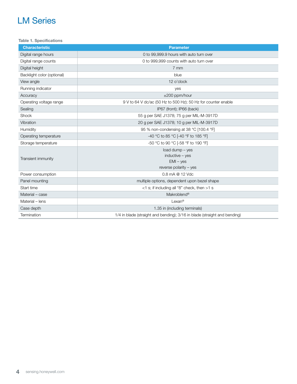Table 1. Specifications

| <b>Characteristic</b>      | <b>Parameter</b>                                                          |
|----------------------------|---------------------------------------------------------------------------|
| Digital range hours        | 0 to 99,999.9 hours with auto turn over                                   |
| Digital range counts       | 0 to 999,999 counts with auto turn over                                   |
| Digital height             | 7 mm                                                                      |
| Backlight color (optional) | blue                                                                      |
| View angle                 | 12 o'clock                                                                |
| Running indicator          | yes                                                                       |
| Accuracy                   | $\pm 200$ ppm/hour                                                        |
| Operating voltage range    | 9 V to 64 V dc/ac (50 Hz to 500 Hz); 50 Hz for counter enable             |
| Sealing                    | IP67 (front); IP66 (back)                                                 |
| Shock                      | 55 g per SAE J1378; 75 g per MIL-M-3917D                                  |
| Vibration                  | 20 g per SAE J1378; 10 g per MIL-M-3917D                                  |
| Humidity                   | 95 % non-condensing at 38 °C [100.4 °F]                                   |
| Operating temperature      | -40 °C to 85 °C [-40 °F to 185 °F]                                        |
| Storage temperature        | -50 °C to 90 °C [-58 °F to 190 °F]                                        |
| Transient immunity         | load dump - yes                                                           |
|                            | $inductive - ves$                                                         |
|                            | $EMI - yes$                                                               |
|                            | reverse polarity $-$ yes                                                  |
| Power consumption          | 0.8 mA @ 12 Vdc                                                           |
| Panel mounting             | multiple options, dependent upon bezel shape                              |
| Start time                 | $<$ 1 s; if including all "8" check, then $>$ 1 s                         |
| Material - case            | Makroblend <sup>®</sup>                                                   |
| Material - lens            | Lexan <sup>®</sup>                                                        |
| Case depth                 | 1.35 in (including terminals)                                             |
| Termination                | 1/4 in blade (straight and bending); 3/16 in blade (straight and bending) |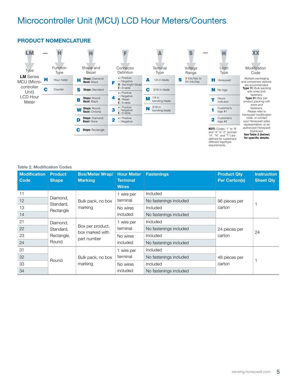## Microcontroller Unit (MCU) LCD Hour Meters/Counters

#### PRODUCT NOMENCLATURE



#### Table 2. Modification Codes

| <b>Modification</b><br>Code | <b>Product</b><br><b>Shape</b>     | <b>Box/Meter Wrap/</b><br><b>Marking</b>           | <b>Hour Meter</b><br><b>Terminal</b><br><b>Wires</b> | <b>Fastenings</b>      | <b>Product Qty</b><br><b>Per Carton(s)</b> | <b>Instruction</b><br><b>Sheet Qty</b> |
|-----------------------------|------------------------------------|----------------------------------------------------|------------------------------------------------------|------------------------|--------------------------------------------|----------------------------------------|
| 11                          | Diamond,<br>Standard,<br>Rectangle | Bulk pack, no box<br>marking                       | 1 wire per                                           | Included               |                                            |                                        |
| 12                          |                                    |                                                    | terminal                                             | No fastenings included | 96 pieces per                              |                                        |
| 13                          |                                    |                                                    | No wires<br>included                                 | Included               | carton                                     |                                        |
| 14                          |                                    |                                                    |                                                      | No fastenings included |                                            |                                        |
| 21                          | Diamond,<br>Standard,              | Box per product,<br>box marked with<br>part number | 1 wire per<br>terminal                               | Included               |                                            | 24                                     |
| 22                          |                                    |                                                    |                                                      | No fastenings included | 24 pieces per                              |                                        |
| 23                          | Rectangle,                         |                                                    | No wires                                             | Included               | carton                                     |                                        |
| 24                          | Round                              |                                                    |                                                      | included               | No fastenings included                     |                                        |
| 31                          | Round                              |                                                    | 1 wire per                                           | Included               |                                            |                                        |
| 32                          |                                    | Bulk pack, no box<br>marking                       | terminal                                             | No fastenings included | 48 pieces per                              |                                        |
| 33                          |                                    |                                                    | No wires                                             | Included               | carton                                     |                                        |
| 34                          |                                    |                                                    | included                                             | No fastenings included |                                            |                                        |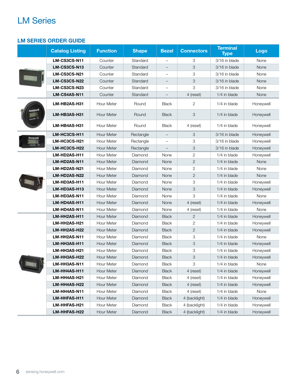#### LM SERIES ORDER GUIDE

|  | <b>Catalog Listing</b> | <b>Function</b>   | <b>Shape</b> | <b>Bezel</b>             | <b>Connectors</b>         | <b>Terminal</b><br><b>Type</b> | <b>Logo</b> |
|--|------------------------|-------------------|--------------|--------------------------|---------------------------|--------------------------------|-------------|
|  | LM-CS3CS-N11           | Counter           | Standard     |                          | 3                         | 3/16 in blade                  | None        |
|  | LM-CS3CS-N13           | Counter           | Standard     |                          | 3                         | 3/16 in blade                  | None        |
|  | LM-CS3CS-N21           | Counter           | Standard     | $\qquad \qquad -$        | 3                         | 3/16 in blade                  | None        |
|  | LM-CS3CS-N22           | Counter           | Standard     | $\qquad \qquad -$        | $\ensuremath{\mathsf{3}}$ | 3/16 in blade                  | None        |
|  | LM-CS3CS-N23           | Counter           | Standard     | $\qquad \qquad -$        | 3                         | 3/16 in blade                  | None        |
|  | LM-CS4AS-N11           | Counter           | Standard     |                          | 4 (reset)                 | 1/4 in blade                   | None        |
|  | LM-HB2AS-H31           | Hour Meter        | Round        | <b>Black</b>             | $\mathbf{2}$              | 1/4 in blade                   | Honeywell   |
|  | LM-HB3AS-H31           | Hour Meter        | Round        | <b>Black</b>             | 3                         | 1/4 in blade                   | Honeywell   |
|  | LM-HB4AS-H31           | Hour Meter        | Round        | <b>Black</b>             | 4 (reset)                 | 1/4 in blade                   | Honeywell   |
|  | LM-HC3CS-H11           | <b>Hour Meter</b> | Rectangle    |                          | 3                         | 3/16 in blade                  | Honeywell   |
|  | LM-HC3CS-H21           | Hour Meter        | Rectangle    |                          | 3                         | 3/16 in blade                  | Honeywell   |
|  | LM-HC3CS-H22           | Hour Meter        | Rectangle    | $\overline{\phantom{0}}$ | 3                         | 3/16 in blade                  | Honeywell   |
|  | LM-HD2AS-H11           | Hour Meter        | Diamond      | None                     | $\overline{2}$            | 1/4 in blade                   | Honeywell   |
|  | LM-HD2AS-N11           | Hour Meter        | Diamond      | None                     | $\mathbf{2}$              | 1/4 in blade                   | None        |
|  | LM-HD2AS-N21           | Hour Meter        | Diamond      | None                     | $\mathbf{2}$              | 1/4 in blade                   | None        |
|  | LM-HD2AS-N22           | Hour Meter        | Diamond      | None                     | $\mathbf{2}$              | 1/4 in blade                   | None        |
|  | LM-HD3AS-H11           | Hour Meter        | Diamond      | None                     | 3                         | 1/4 in blade                   | Honeywell   |
|  | LM-HD3AS-H13           | <b>Hour Meter</b> | Diamond      | None                     | 3                         | 1/4 in blade                   | Honeywell   |
|  | LM-HD3AS-N11           | Hour Meter        | Diamond      | None                     | 3                         | 1/4 in blade                   | None        |
|  | LM-HD4AS-H11           | <b>Hour Meter</b> | Diamond      | None                     | 4 (reset)                 | 1/4 in blade                   | Honeywell   |
|  | LM-HD4AS-N11           | Hour Meter        | Diamond      | None                     | 4 (reset)                 | 1/4 in blade                   | None        |
|  | LM-HH2AS-H11           | Hour Meter        | Diamond      | <b>Black</b>             | 2                         | 1/4 in blade                   | Honeywell   |
|  | LM-HH2AS-H21           | Hour Meter        | Diamond      | <b>Black</b>             | 2                         | 1/4 in blade                   | Honeywell   |
|  | LM-HH2AS-H22           | Hour Meter        | Diamond      | <b>Black</b>             | $\mathbf{2}$              | 1/4 in blade                   | Honeywell   |
|  | LM-HH2AS-N11           | Hour Meter        | Diamond      | <b>Black</b>             | 3                         | 1/4 in blade                   | None        |
|  | LM-HH3AS-H11           | Hour Meter        | Diamond      | <b>Black</b>             | 3                         | 1/4 in blade                   | Honeywell   |
|  | LM-HH3AS-H21           | Hour Meter        | Diamond      | <b>Black</b>             | 3                         | 1/4 in blade                   | Honeywell   |
|  | LM-HH3AS-H22           | Hour Meter        | Diamond      | <b>Black</b>             | $\ensuremath{\mathsf{3}}$ | 1/4 in blade                   | Honeywell   |
|  | LM-HH3AS-N11           | Hour Meter        | Diamond      | <b>Black</b>             | 3                         | 1/4 in blade                   | None        |
|  | LM-HH4AS-H11           | Hour Meter        | Diamond      | <b>Black</b>             | 4 (reset)                 | 1/4 in blade                   | Honeywell   |
|  | LM-HH4AS-H21           | Hour Meter        | Diamond      | Black                    | 4 (reset)                 | 1/4 in blade                   | Honeywell   |
|  | LM-HH4AS-H22           | Hour Meter        | Diamond      | Black                    | 4 (reset)                 | 1/4 in blade                   | Honeywell   |
|  | LM-HH4AS-N11           | Hour Meter        | Diamond      | <b>Black</b>             | 4 (reset)                 | 1/4 in blade                   | None        |
|  | LM-HHFAS-H11           | Hour Meter        | Diamond      | <b>Black</b>             | 4 (backlight)             | 1/4 in blade                   | Honeywell   |
|  | LM-HHFAS-H21           | Hour Meter        | Diamond      | <b>Black</b>             | 4 (backlight)             | 1/4 in blade                   | Honeywell   |
|  | LM-HHFAS-H22           | Hour Meter        | Diamond      | Black                    | 4 (backlight)             | 1/4 in blade                   | Honeywell   |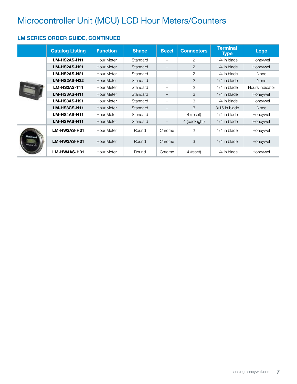# Microcontroller Unit (MCU) LCD Hour Meters/Counters

#### LM SERIES ORDER GUIDE, CONTINUED

|  | <b>Catalog Listing</b> | <b>Function</b>   | <b>Shape</b> | <b>Bezel</b>             | <b>Connectors</b> | <b>Terminal</b><br><b>Type</b> | Logo            |
|--|------------------------|-------------------|--------------|--------------------------|-------------------|--------------------------------|-----------------|
|  | LM-HS2AS-H11           | <b>Hour Meter</b> | Standard     | $\overline{\phantom{0}}$ | $\overline{2}$    | 1/4 in blade                   | Honeywell       |
|  | LM-HS2AS-H21           | <b>Hour Meter</b> | Standard     | $\overline{\phantom{m}}$ | $\overline{2}$    | 1/4 in blade                   | Honeywell       |
|  | LM-HS2AS-N21           | Hour Meter        | Standard     | $\overline{\phantom{0}}$ | $\overline{2}$    | 1/4 in blade                   | None            |
|  | LM-HS2AS-N22           | <b>Hour Meter</b> | Standard     | $\overline{\phantom{m}}$ | $\overline{2}$    | 1/4 in blade                   | <b>None</b>     |
|  | LM-HS2AS-T11           | Hour Meter        | Standard     | $\overline{\phantom{m}}$ | 2                 | 1/4 in blade                   | Hours indicator |
|  | LM-HS3AS-H11           | Hour Meter        | Standard     |                          | 3                 | 1/4 in blade                   | Honeywell       |
|  | LM-HS3AS-H21           | <b>Hour Meter</b> | Standard     | $\overline{\phantom{0}}$ | 3                 | 1/4 in blade                   | Honeywell       |
|  | LM-HS3CS-N11           | <b>Hour Meter</b> | Standard     | -                        | 3                 | 3/16 in blade                  | <b>None</b>     |
|  | LM-HS4AS-H11           | Hour Meter        | Standard     | $\overline{\phantom{0}}$ | 4 (reset)         | 1/4 in blade                   | Honeywell       |
|  | LM-HSFAS-H11           | <b>Hour Meter</b> | Standard     |                          | 4 (backlight)     | 1/4 in blade                   | Honeywell       |
|  | LM-HW2AS-H31           | Hour Meter        | Round        | Chrome                   | $\overline{2}$    | 1/4 in blade                   | Honeywell       |
|  | LM-HW3AS-H31           | Hour Meter        | Round        | Chrome                   | 3                 | 1/4 in blade                   | Honeywell       |
|  | LM-HW4AS-H31           | Hour Meter        | Round        | Chrome                   | 4 (reset)         | 1/4 in blade                   | Honeywell       |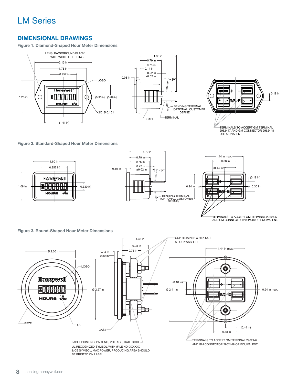#### DIMENSIONAL DRAWINGS

Figure 1. Diamond-Shaped Hour Meter Dimensions



TERMINALS TO ACCEPT GM TERMINAL 2962447 AND GM CONNECTOR 2962448 OR EQUIVALENT.

Figure 2. Standard-Shaped Hour Meter Dimensions



TERMINALS TO ACCEPT GM TERMINAL 2962447 AND GM CONNECTOR 2962448 OR EQUIVALENT.





LABEL PRINTING: PART NO, VOLTAGE, DATE CODE, UL RECOGNIZED SYMBOL WITH (FILE NO) XXXXXX & CE SYMBOL, MAX POWER, PRODUCING AREA SHOULD BE PRINTED ON LABEL.

TERMINALS TO ACCEPT GM TERMINAL 2962447 AND GM CONNECTOR 2962448 OR EQUIVALENT.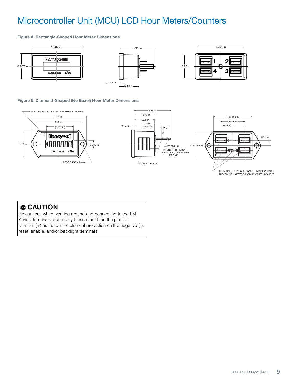#### Microcontroller Unit (MCU) LCD Hour Meters/Counters Hour ers/C  $\mathbf{S}$

Figure 4. Rectangle-Shaped Hour Meter Dimensions



### Figure 5. Diamond-Shaped (No Bezel) Hour Meter Dimensions



WITHOUT BEZELD

### $\bullet$  CAUTION

Be cautious when working around and connecting to the LM Series' terminals, especially those other than the positive terminal (+) as there is no eletrical protection on the negative (-), reset, enable, and/or backlight terminals.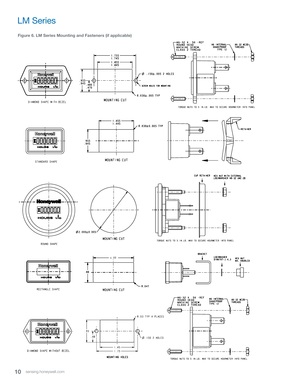Figure 6. LM Series Mounting and Fasteners (if applicable)



TORQUE NUTS TO 5 IN.LB. MAX TO SECURE HOURMETER INTO PANEL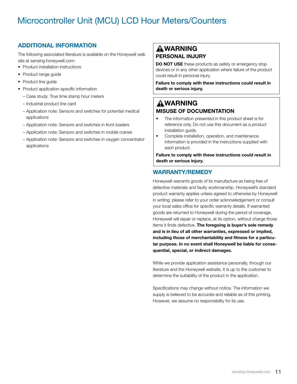## Microcontroller Unit (MCU) LCD Hour Meters/Counters

### ADDITIONAL INFORMATION

The following associated literature is available on the Honeywell web site at sensing.honeywell.com:

- Product installation instructions
- Product range guide
- Product line guide
- Product application-specific information
	- Case study: True time stamp hour meters
	- Industrial product line card
	- Application note: Sensors and switches for potential medical applications
	- Application note: Sensors and switches in front loaders
	- Application note: Sensors and switches in mobile cranes
	- Appilcation note: Sensors and switches in oxygen concentrator applications

### **AWARNING** PERSONAL INJURY

DO NOT USE these products as safety or emergency stop devices or in any other application where failure of the product could result in personal injury.

Failure to comply with these instructions could result in death or serious injury.

### **AWARNING** MISUSE OF DOCUMENTATION

- The information presented in this product sheet is for reference only. Do not use this document as a product installation guide.
- Complete installation, operation, and maintenance information is provided in the instructions supplied with each product.

Failure to comply with these instructions could result in death or serious injury.

### WARRANTY/REMEDY

Honeywell warrants goods of its manufacture as being free of defective materials and faulty workmanship. Honeywell's standard product warranty applies unless agreed to otherwise by Honeywell in writing; please refer to your order acknowledgement or consult your local sales office for specific warranty details. If warranted goods are returned to Honeywell during the period of coverage, Honeywell will repair or replace, at its option, without charge those items it finds defective. The foregoing is buyer's sole remedy and is in lieu of all other warranties, expressed or implied, including those of merchantability and fitness for a particular purpose. In no event shall Honeywell be liable for consequential, special, or indirect damages.

While we provide application assistance personally, through our literature and the Honeywell website, it is up to the customer to determine the suitability of the product in the application.

Specifications may change without notice. The information we supply is believed to be accurate and reliable as of this printing. However, we assume no responsibility for its use.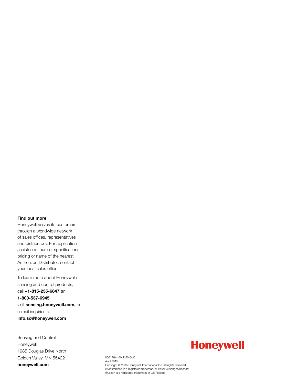#### Find out more

Honeywell serves its customers through a worldwide network of sales offices, representatives and distributors. For application assistance, current specifications, pricing or name of the nearest Authorized Distributor, contact your local sales office.

To learn more about Honeywell's sensing and control products, call +1-815-235-6847 or 1-800-537-6945, visit sensing.honeywell.com, or e-mail inquiries to info.sc@honeywell.com

Sensing and Control Honeywell 1985 Douglas Drive North Golden Valley, MN 55422 honeywell.com

# **Honeywell**

006178-4-EN IL50 GLO April 2015 Copyright © 2015 Honeywell International Inc. All rights reserved. ®Makroblend is a registered trademark of Bayer Aktiengesellschaft ®Lexan is a registered trademark of GE Plastics